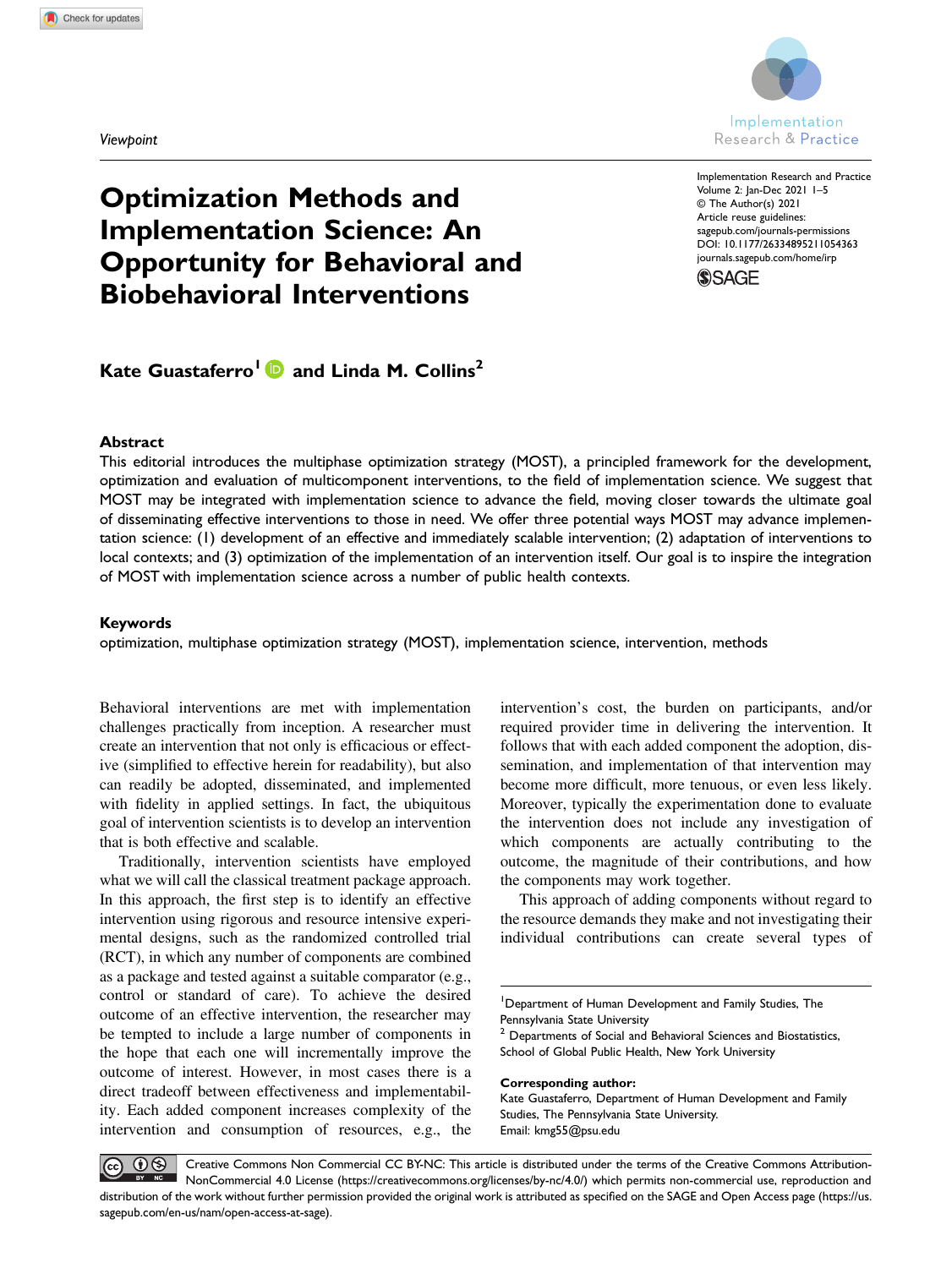**Viewboint** 



Implementation Research and Practice Volume 2: Jan-Dec 2021 1–5 © The Author(s) 2021 Article reuse guidelines: [sagepub.com/journals-permissions](https://us.sagepub.com/en-us/journals-permissions) DOI: 10.1177/26334895211054363 [journals.sagepub.com/home/irp](https://journals.sagepub.com/home/irp)**SSAGE** 

# Optimization Methods and Implementation Science: An Opportunity for Behavioral and Biobehavioral Interventions

Kate Guastaferro<sup>1</sup> and Linda M. Collins<sup>2</sup>

## Abstract

This editorial introduces the multiphase optimization strategy (MOST), a principled framework for the development, optimization and evaluation of multicomponent interventions, to the field of implementation science. We suggest that MOST may be integrated with implementation science to advance the field, moving closer towards the ultimate goal of disseminating effective interventions to those in need. We offer three potential ways MOST may advance implementation science: (1) development of an effective and immediately scalable intervention; (2) adaptation of interventions to local contexts; and (3) optimization of the implementation of an intervention itself. Our goal is to inspire the integration of MOST with implementation science across a number of public health contexts.

## Keywords

optimization, multiphase optimization strategy (MOST), implementation science, intervention, methods

Behavioral interventions are met with implementation challenges practically from inception. A researcher must create an intervention that not only is efficacious or effective (simplified to effective herein for readability), but also can readily be adopted, disseminated, and implemented with fidelity in applied settings. In fact, the ubiquitous goal of intervention scientists is to develop an intervention that is both effective and scalable.

Traditionally, intervention scientists have employed what we will call the classical treatment package approach. In this approach, the first step is to identify an effective intervention using rigorous and resource intensive experimental designs, such as the randomized controlled trial (RCT), in which any number of components are combined as a package and tested against a suitable comparator (e.g., control or standard of care). To achieve the desired outcome of an effective intervention, the researcher may be tempted to include a large number of components in the hope that each one will incrementally improve the outcome of interest. However, in most cases there is a direct tradeoff between effectiveness and implementability. Each added component increases complexity of the intervention and consumption of resources, e.g., the

intervention's cost, the burden on participants, and/or required provider time in delivering the intervention. It follows that with each added component the adoption, dissemination, and implementation of that intervention may become more difficult, more tenuous, or even less likely. Moreover, typically the experimentation done to evaluate the intervention does not include any investigation of which components are actually contributing to the outcome, the magnitude of their contributions, and how the components may work together.

This approach of adding components without regard to the resource demands they make and not investigating their individual contributions can create several types of

<sup>2</sup> Departments of Social and Behavioral Sciences and Biostatistics, School of Global Public Health, New York University

Corresponding author:

Kate Guastaferro, Department of Human Development and Family Studies, The Pennsylvania State University. Email: [kmg55@psu.edu](mailto:kmg55@psu.edu)

 $\odot\otimes$ Creative Commons Non Commercial CC BY-NC: This article is distributed under the terms of the Creative Commons Attribution- $|$  (cc) NonCommercial 4.0 License ([https://creativecommons.org/licenses/by-nc/4.0/\) which permits non-commercial use, reproduction and](https://creativecommons.org/licenses/by-nc/4.0/) [distribution of the work without further permission provided the original work is attributed as speci](https://us.sagepub.com/en-us/nam/open-access-at-sage)fied on the SAGE and Open Access page (https://us. [sagepub.com/en-us/nam/open-access-at-sage\).](https://us.sagepub.com/en-us/nam/open-access-at-sage)

<sup>&</sup>lt;sup>1</sup>Department of Human Development and Family Studies, The Pennsylvania State University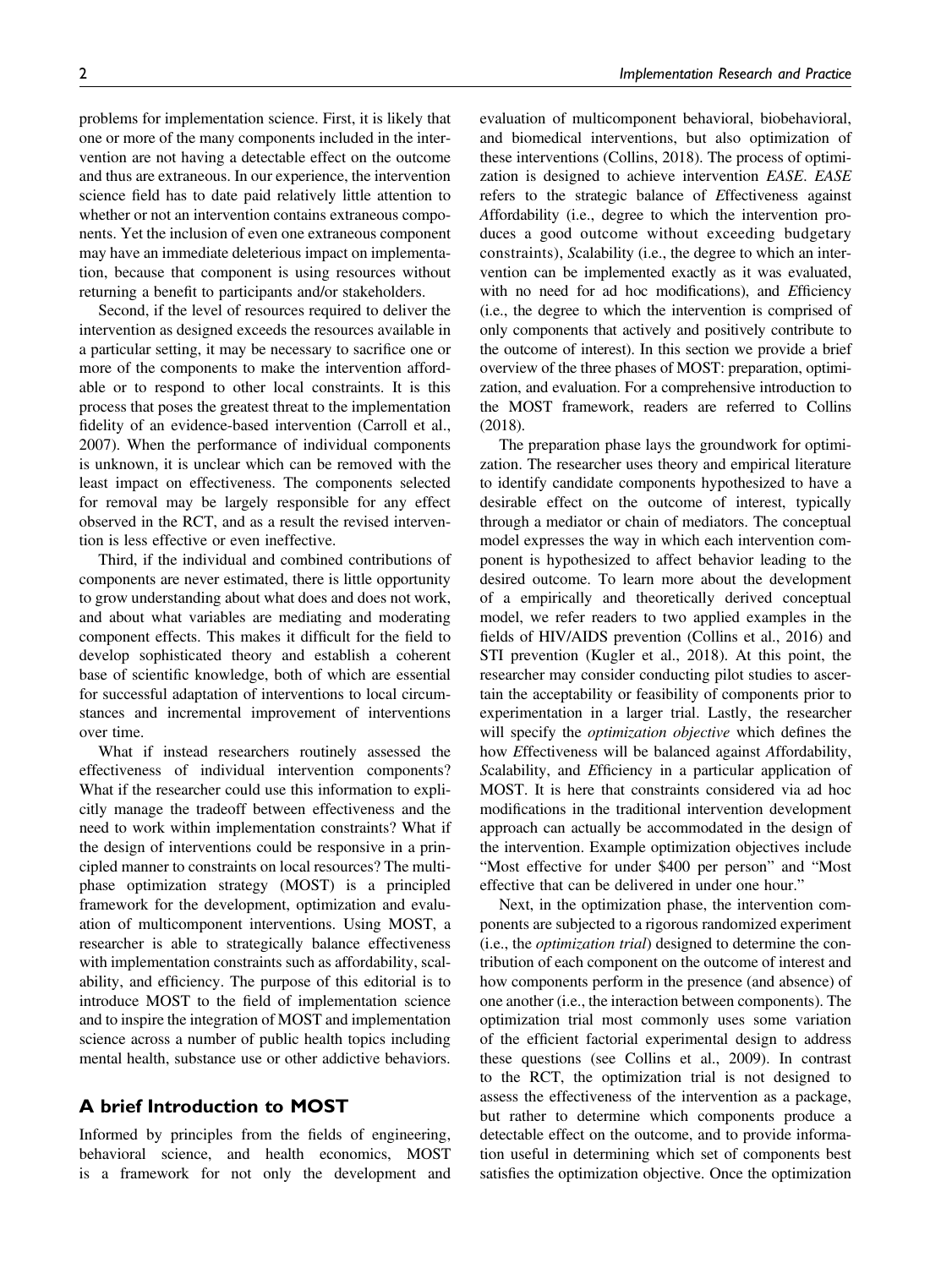problems for implementation science. First, it is likely that one or more of the many components included in the intervention are not having a detectable effect on the outcome and thus are extraneous. In our experience, the intervention science field has to date paid relatively little attention to whether or not an intervention contains extraneous components. Yet the inclusion of even one extraneous component may have an immediate deleterious impact on implementation, because that component is using resources without returning a benefit to participants and/or stakeholders.

Second, if the level of resources required to deliver the intervention as designed exceeds the resources available in a particular setting, it may be necessary to sacrifice one or more of the components to make the intervention affordable or to respond to other local constraints. It is this process that poses the greatest threat to the implementation fidelity of an evidence-based intervention (Carroll et al., 2007). When the performance of individual components is unknown, it is unclear which can be removed with the least impact on effectiveness. The components selected for removal may be largely responsible for any effect observed in the RCT, and as a result the revised intervention is less effective or even ineffective.

Third, if the individual and combined contributions of components are never estimated, there is little opportunity to grow understanding about what does and does not work, and about what variables are mediating and moderating component effects. This makes it difficult for the field to develop sophisticated theory and establish a coherent base of scientific knowledge, both of which are essential for successful adaptation of interventions to local circumstances and incremental improvement of interventions over time.

What if instead researchers routinely assessed the effectiveness of individual intervention components? What if the researcher could use this information to explicitly manage the tradeoff between effectiveness and the need to work within implementation constraints? What if the design of interventions could be responsive in a principled manner to constraints on local resources? The multiphase optimization strategy (MOST) is a principled framework for the development, optimization and evaluation of multicomponent interventions. Using MOST, a researcher is able to strategically balance effectiveness with implementation constraints such as affordability, scalability, and efficiency. The purpose of this editorial is to introduce MOST to the field of implementation science and to inspire the integration of MOST and implementation science across a number of public health topics including mental health, substance use or other addictive behaviors.

# A brief Introduction to MOST

Informed by principles from the fields of engineering, behavioral science, and health economics, MOST is a framework for not only the development and evaluation of multicomponent behavioral, biobehavioral, and biomedical interventions, but also optimization of these interventions (Collins, 2018). The process of optimization is designed to achieve intervention EASE. EASE refers to the strategic balance of Effectiveness against Affordability (i.e., degree to which the intervention produces a good outcome without exceeding budgetary constraints), Scalability (i.e., the degree to which an intervention can be implemented exactly as it was evaluated, with no need for ad hoc modifications), and Efficiency (i.e., the degree to which the intervention is comprised of only components that actively and positively contribute to the outcome of interest). In this section we provide a brief overview of the three phases of MOST: preparation, optimization, and evaluation. For a comprehensive introduction to the MOST framework, readers are referred to Collins (2018).

The preparation phase lays the groundwork for optimization. The researcher uses theory and empirical literature to identify candidate components hypothesized to have a desirable effect on the outcome of interest, typically through a mediator or chain of mediators. The conceptual model expresses the way in which each intervention component is hypothesized to affect behavior leading to the desired outcome. To learn more about the development of a empirically and theoretically derived conceptual model, we refer readers to two applied examples in the fields of HIV/AIDS prevention (Collins et al., 2016) and STI prevention (Kugler et al., 2018). At this point, the researcher may consider conducting pilot studies to ascertain the acceptability or feasibility of components prior to experimentation in a larger trial. Lastly, the researcher will specify the *optimization objective* which defines the how Effectiveness will be balanced against Affordability, Scalability, and Efficiency in a particular application of MOST. It is here that constraints considered via ad hoc modifications in the traditional intervention development approach can actually be accommodated in the design of the intervention. Example optimization objectives include "Most effective for under \$400 per person" and "Most effective that can be delivered in under one hour."

Next, in the optimization phase, the intervention components are subjected to a rigorous randomized experiment (i.e., the optimization trial) designed to determine the contribution of each component on the outcome of interest and how components perform in the presence (and absence) of one another (i.e., the interaction between components). The optimization trial most commonly uses some variation of the efficient factorial experimental design to address these questions (see Collins et al., 2009). In contrast to the RCT, the optimization trial is not designed to assess the effectiveness of the intervention as a package, but rather to determine which components produce a detectable effect on the outcome, and to provide information useful in determining which set of components best satisfies the optimization objective. Once the optimization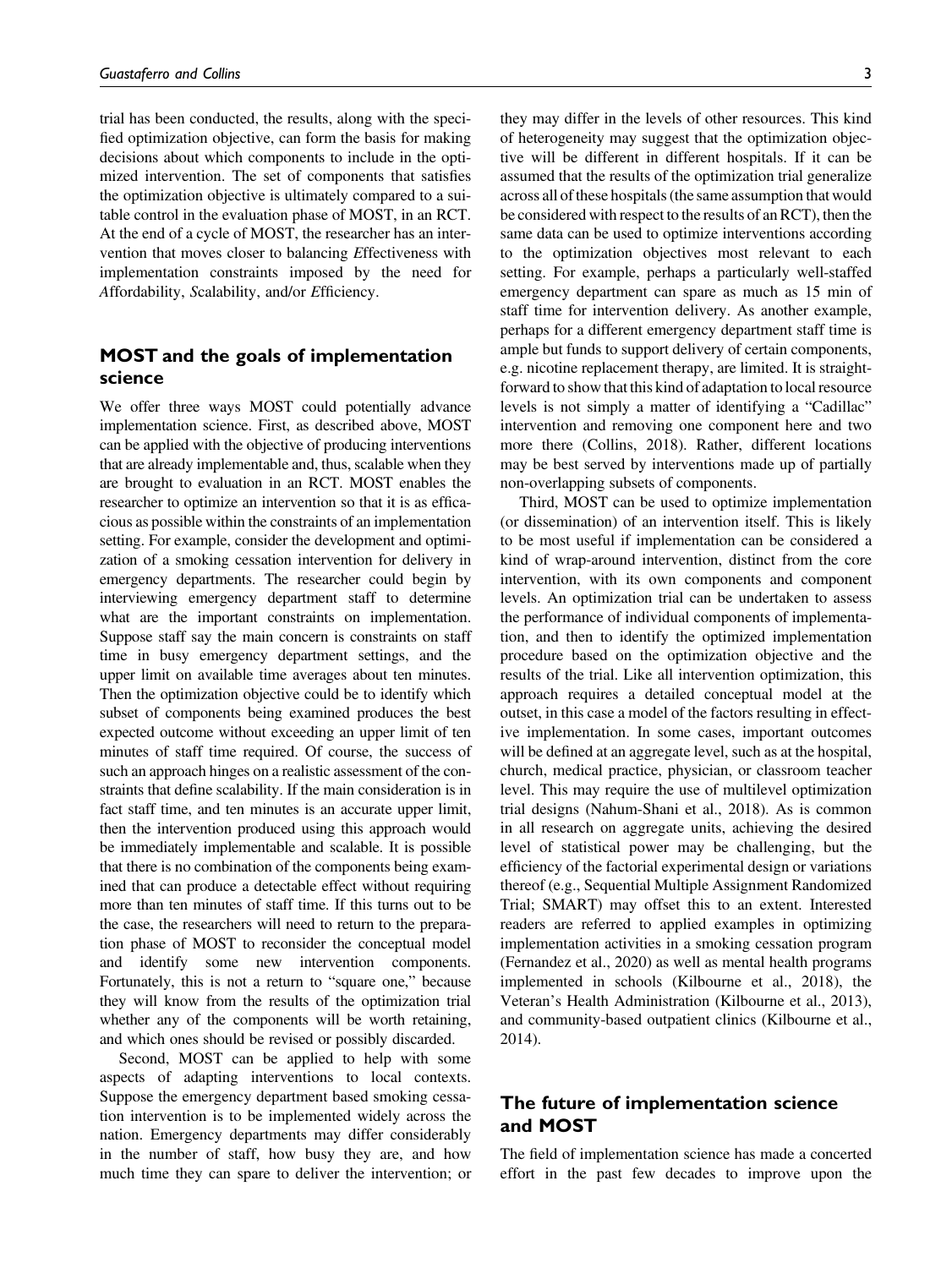trial has been conducted, the results, along with the specified optimization objective, can form the basis for making decisions about which components to include in the optimized intervention. The set of components that satisfies the optimization objective is ultimately compared to a suitable control in the evaluation phase of MOST, in an RCT. At the end of a cycle of MOST, the researcher has an intervention that moves closer to balancing Effectiveness with implementation constraints imposed by the need for Affordability, Scalability, and/or Efficiency.

# MOST and the goals of implementation science

We offer three ways MOST could potentially advance implementation science. First, as described above, MOST can be applied with the objective of producing interventions that are already implementable and, thus, scalable when they are brought to evaluation in an RCT. MOST enables the researcher to optimize an intervention so that it is as efficacious as possible within the constraints of an implementation setting. For example, consider the development and optimization of a smoking cessation intervention for delivery in emergency departments. The researcher could begin by interviewing emergency department staff to determine what are the important constraints on implementation. Suppose staff say the main concern is constraints on staff time in busy emergency department settings, and the upper limit on available time averages about ten minutes. Then the optimization objective could be to identify which subset of components being examined produces the best expected outcome without exceeding an upper limit of ten minutes of staff time required. Of course, the success of such an approach hinges on a realistic assessment of the constraints that define scalability. If the main consideration is in fact staff time, and ten minutes is an accurate upper limit, then the intervention produced using this approach would be immediately implementable and scalable. It is possible that there is no combination of the components being examined that can produce a detectable effect without requiring more than ten minutes of staff time. If this turns out to be the case, the researchers will need to return to the preparation phase of MOST to reconsider the conceptual model and identify some new intervention components. Fortunately, this is not a return to "square one," because they will know from the results of the optimization trial whether any of the components will be worth retaining, and which ones should be revised or possibly discarded.

Second, MOST can be applied to help with some aspects of adapting interventions to local contexts. Suppose the emergency department based smoking cessation intervention is to be implemented widely across the nation. Emergency departments may differ considerably in the number of staff, how busy they are, and how much time they can spare to deliver the intervention; or

they may differ in the levels of other resources. This kind of heterogeneity may suggest that the optimization objective will be different in different hospitals. If it can be assumed that the results of the optimization trial generalize across all of these hospitals (the same assumption that would be considered with respect to the results of an RCT), then the same data can be used to optimize interventions according to the optimization objectives most relevant to each setting. For example, perhaps a particularly well-staffed emergency department can spare as much as 15 min of staff time for intervention delivery. As another example, perhaps for a different emergency department staff time is ample but funds to support delivery of certain components, e.g. nicotine replacement therapy, are limited. It is straightforward to show that this kind of adaptation to local resource levels is not simply a matter of identifying a "Cadillac" intervention and removing one component here and two more there (Collins, 2018). Rather, different locations may be best served by interventions made up of partially non-overlapping subsets of components.

Third, MOST can be used to optimize implementation (or dissemination) of an intervention itself. This is likely to be most useful if implementation can be considered a kind of wrap-around intervention, distinct from the core intervention, with its own components and component levels. An optimization trial can be undertaken to assess the performance of individual components of implementation, and then to identify the optimized implementation procedure based on the optimization objective and the results of the trial. Like all intervention optimization, this approach requires a detailed conceptual model at the outset, in this case a model of the factors resulting in effective implementation. In some cases, important outcomes will be defined at an aggregate level, such as at the hospital, church, medical practice, physician, or classroom teacher level. This may require the use of multilevel optimization trial designs (Nahum-Shani et al., 2018). As is common in all research on aggregate units, achieving the desired level of statistical power may be challenging, but the efficiency of the factorial experimental design or variations thereof (e.g., Sequential Multiple Assignment Randomized Trial; SMART) may offset this to an extent. Interested readers are referred to applied examples in optimizing implementation activities in a smoking cessation program (Fernandez et al., 2020) as well as mental health programs implemented in schools (Kilbourne et al., 2018), the Veteran's Health Administration (Kilbourne et al., 2013), and community-based outpatient clinics (Kilbourne et al., 2014).

# The future of implementation science and MOST

The field of implementation science has made a concerted effort in the past few decades to improve upon the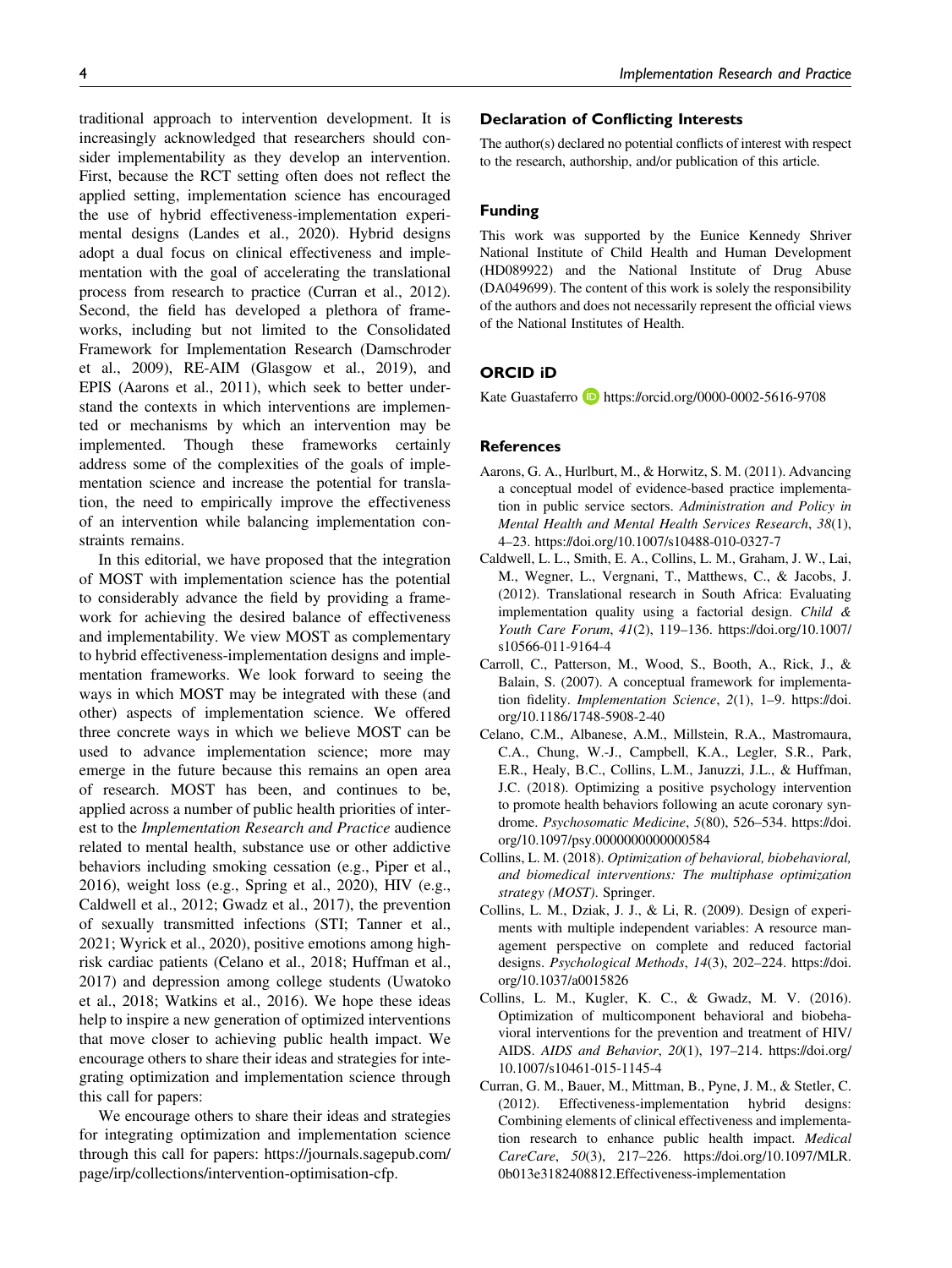traditional approach to intervention development. It is increasingly acknowledged that researchers should consider implementability as they develop an intervention. First, because the RCT setting often does not reflect the applied setting, implementation science has encouraged the use of hybrid effectiveness-implementation experimental designs (Landes et al., 2020). Hybrid designs adopt a dual focus on clinical effectiveness and implementation with the goal of accelerating the translational process from research to practice (Curran et al., 2012). Second, the field has developed a plethora of frameworks, including but not limited to the Consolidated Framework for Implementation Research (Damschroder et al., 2009), RE-AIM (Glasgow et al., 2019), and EPIS (Aarons et al., 2011), which seek to better understand the contexts in which interventions are implemented or mechanisms by which an intervention may be implemented. Though these frameworks certainly address some of the complexities of the goals of implementation science and increase the potential for translation, the need to empirically improve the effectiveness of an intervention while balancing implementation constraints remains.

In this editorial, we have proposed that the integration of MOST with implementation science has the potential to considerably advance the field by providing a framework for achieving the desired balance of effectiveness and implementability. We view MOST as complementary to hybrid effectiveness-implementation designs and implementation frameworks. We look forward to seeing the ways in which MOST may be integrated with these (and other) aspects of implementation science. We offered three concrete ways in which we believe MOST can be used to advance implementation science; more may emerge in the future because this remains an open area of research. MOST has been, and continues to be, applied across a number of public health priorities of interest to the Implementation Research and Practice audience related to mental health, substance use or other addictive behaviors including smoking cessation (e.g., Piper et al., 2016), weight loss (e.g., Spring et al., 2020), HIV (e.g., Caldwell et al., 2012; Gwadz et al., 2017), the prevention of sexually transmitted infections (STI; Tanner et al., 2021; Wyrick et al., 2020), positive emotions among highrisk cardiac patients (Celano et al., 2018; Huffman et al., 2017) and depression among college students (Uwatoko et al., 2018; Watkins et al., 2016). We hope these ideas help to inspire a new generation of optimized interventions that move closer to achieving public health impact. We encourage others to share their ideas and strategies for integrating optimization and implementation science through this call for papers:

We encourage others to share their ideas and strategies for integrating optimization and implementation science through this call for papers: [https://journals.sagepub.com/](https://journals.sagepub.com/page/irp/collections/intervention-optimisation-cfp.) [page/irp/collections/intervention-optimisation-cfp.](https://journals.sagepub.com/page/irp/collections/intervention-optimisation-cfp.)

## Declaration of Conflicting Interests

The author(s) declared no potential conflicts of interest with respect to the research, authorship, and/or publication of this article.

#### Funding

This work was supported by the Eunice Kennedy Shriver National Institute of Child Health and Human Development (HD089922) and the National Institute of Drug Abuse (DA049699). The content of this work is solely the responsibility of the authors and does not necessarily represent the official views of the National Institutes of Health.

## ORCID iD

Kate Guastaferro **b** <https://orcid.org/0000-0002-5616-9708>

### **References**

- Aarons, G. A., Hurlburt, M., & Horwitz, S. M. (2011). Advancing a conceptual model of evidence-based practice implementation in public service sectors. Administration and Policy in Mental Health and Mental Health Services Research, 38(1), 4–23.<https://doi.org/10.1007/s10488-010-0327-7>
- Caldwell, L. L., Smith, E. A., Collins, L. M., Graham, J. W., Lai, M., Wegner, L., Vergnani, T., Matthews, C., & Jacobs, J. (2012). Translational research in South Africa: Evaluating implementation quality using a factorial design. Child & Youth Care Forum, 41(2), 119–136. [https://doi.org/10.1007/](https://doi.org/10.1007/s10566-011-9164-4) [s10566-011-9164-4](https://doi.org/10.1007/s10566-011-9164-4)
- Carroll, C., Patterson, M., Wood, S., Booth, A., Rick, J., & Balain, S. (2007). A conceptual framework for implementation fidelity. *Implementation Science*, 2(1), 1-9. [https://doi.](https://doi.org/10.1186/1748-5908-2-40) [org/10.1186/1748-5908-2-40](https://doi.org/10.1186/1748-5908-2-40)
- Celano, C.M., Albanese, A.M., Millstein, R.A., Mastromaura, C.A., Chung, W.-J., Campbell, K.A., Legler, S.R., Park, E.R., Healy, B.C., Collins, L.M., Januzzi, J.L., & Huffman, J.C. (2018). Optimizing a positive psychology intervention to promote health behaviors following an acute coronary syndrome. Psychosomatic Medicine, 5(80), 526–534. [https://doi.](https://doi.org/10.1097/psy.0000000000000584) [org/10.1097/psy.0000000000000584](https://doi.org/10.1097/psy.0000000000000584)
- Collins, L. M. (2018). Optimization of behavioral, biobehavioral, and biomedical interventions: The multiphase optimization strategy (MOST). Springer.
- Collins, L. M., Dziak, J. J., & Li, R. (2009). Design of experiments with multiple independent variables: A resource management perspective on complete and reduced factorial designs. Psychological Methods, 14(3), 202–224. [https://doi.](https://doi.org/10.1037/a0015826) [org/10.1037/a0015826](https://doi.org/10.1037/a0015826)
- Collins, L. M., Kugler, K. C., & Gwadz, M. V. (2016). Optimization of multicomponent behavioral and biobehavioral interventions for the prevention and treatment of HIV/ AIDS. AIDS and Behavior, 20(1), 197–214. [https://doi.org/](https://doi.org/10.1007/s10461-015-1145-4) [10.1007/s10461-015-1145-4](https://doi.org/10.1007/s10461-015-1145-4)
- Curran, G. M., Bauer, M., Mittman, B., Pyne, J. M., & Stetler, C. (2012). Effectiveness-implementation hybrid designs: Combining elements of clinical effectiveness and implementation research to enhance public health impact. Medical CareCare, 50(3), 217–226. [https://doi.org/10.1097/MLR.](https://doi.org/10.1097/MLR.0b013e3182408812.Effectiveness-implementation) [0b013e3182408812.Effectiveness-implementation](https://doi.org/10.1097/MLR.0b013e3182408812.Effectiveness-implementation)